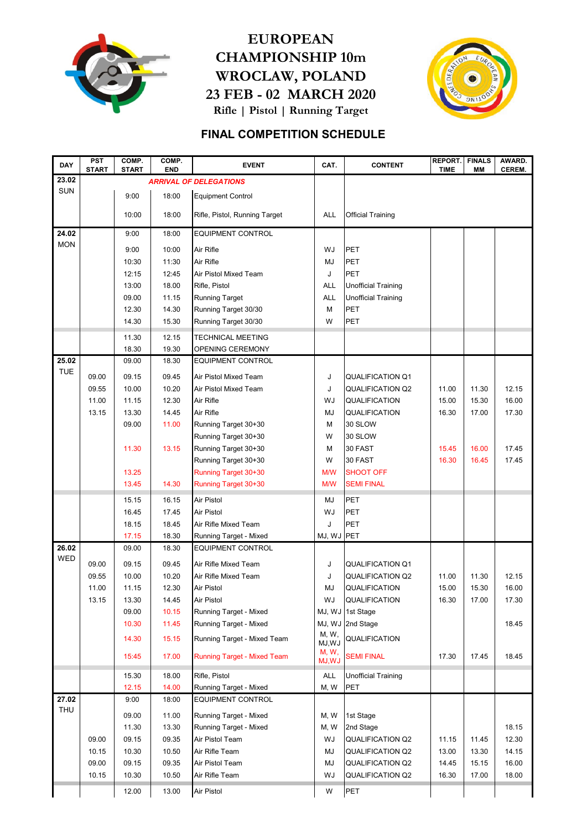

## EUROPEAN CHAMPIONSHIP 10m WROCLAW, POLAND 23 FEB - 02 MARCH 2020 Rifle | Pistol | Running Target



## FINAL COMPETITION SCHEDULE

| <b>DAY</b> | <b>PST</b><br><b>START</b> | COMP.<br><b>START</b> | COMP.<br><b>END</b> | <b>EVENT</b>                       | CAT.            | <b>CONTENT</b>             | REPORT.<br><b>TIME</b> | <b>FINALS</b><br>MМ | AWARD.<br>CEREM. |
|------------|----------------------------|-----------------------|---------------------|------------------------------------|-----------------|----------------------------|------------------------|---------------------|------------------|
| 23.02      |                            |                       |                     | <b>ARRIVAL OF DELEGATIONS</b>      |                 |                            |                        |                     |                  |
| <b>SUN</b> |                            | 9:00                  | 18:00               | <b>Equipment Control</b>           |                 |                            |                        |                     |                  |
|            |                            | 10:00                 | 18:00               | Rifle, Pistol, Running Target      | <b>ALL</b>      | <b>Official Training</b>   |                        |                     |                  |
| 24.02      |                            | 9:00                  | 18:00               | <b>EQUIPMENT CONTROL</b>           |                 |                            |                        |                     |                  |
| <b>MON</b> |                            | 9:00                  | 10:00               | Air Rifle                          | WJ              | PET                        |                        |                     |                  |
|            |                            | 10:30                 | 11:30               | Air Rifle                          | MJ              | PET                        |                        |                     |                  |
|            |                            | 12:15                 | 12:45               | Air Pistol Mixed Team              | J               | PET                        |                        |                     |                  |
|            |                            | 13:00                 | 18.00               | Rifle, Pistol                      | <b>ALL</b>      | <b>Unofficial Training</b> |                        |                     |                  |
|            |                            | 09.00                 | 11.15               | <b>Running Target</b>              | <b>ALL</b>      | Unofficial Training        |                        |                     |                  |
|            |                            | 12.30                 | 14.30               | Running Target 30/30               | М               | PET                        |                        |                     |                  |
|            |                            | 14.30                 | 15.30               | Running Target 30/30               | W               | PET                        |                        |                     |                  |
|            |                            |                       |                     |                                    |                 |                            |                        |                     |                  |
|            |                            | 11.30                 | 12.15               | <b>TECHNICAL MEETING</b>           |                 |                            |                        |                     |                  |
|            |                            | 18.30                 | 19.30               | OPENING CEREMONY                   |                 |                            |                        |                     |                  |
| 25.02      |                            | 09.00                 | 18.30               | <b>EQUIPMENT CONTROL</b>           |                 |                            |                        |                     |                  |
| <b>TUE</b> | 09.00                      | 09.15                 | 09.45               | Air Pistol Mixed Team              | J               | <b>QUALIFICATION Q1</b>    |                        |                     |                  |
|            | 09.55                      | 10.00                 | 10.20               | Air Pistol Mixed Team              | J               | <b>QUALIFICATION Q2</b>    | 11.00                  | 11.30               | 12.15            |
|            | 11.00                      | 11.15                 | 12.30               | Air Rifle                          | WJ              | QUALIFICATION              | 15.00                  | 15.30               | 16.00            |
|            | 13.15                      | 13.30                 | 14.45               | Air Rifle                          | MJ              | QUALIFICATION              | 16.30                  | 17.00               | 17.30            |
|            |                            | 09.00                 | 11.00               | Running Target 30+30               | М               | 30 SLOW                    |                        |                     |                  |
|            |                            |                       |                     | Running Target 30+30               | W               | 30 SLOW                    |                        |                     |                  |
|            |                            | 11.30                 | 13.15               | Running Target 30+30               | М               | 30 FAST                    | 15.45                  | 16.00               | 17.45            |
|            |                            |                       |                     | Running Target 30+30               | W               | 30 FAST                    | 16.30                  | 16.45               | 17.45            |
|            |                            | 13.25                 |                     | Running Target 30+30               | M/W             | <b>SHOOT OFF</b>           |                        |                     |                  |
|            |                            | 13.45                 | 14.30               | Running Target 30+30               | M/W             | <b>SEMI FINAL</b>          |                        |                     |                  |
|            |                            | 15.15                 | 16.15               | Air Pistol                         | MJ              | PET                        |                        |                     |                  |
|            |                            | 16.45                 | 17.45               | Air Pistol                         | WJ              | PET                        |                        |                     |                  |
|            |                            | 18.15                 | 18.45               | Air Rifle Mixed Team               | J               | PET                        |                        |                     |                  |
|            |                            | 17.15                 | 18.30               | Running Target - Mixed             | MJ, WJ PET      |                            |                        |                     |                  |
| 26.02      |                            | 09.00                 | 18.30               | <b>EQUIPMENT CONTROL</b>           |                 |                            |                        |                     |                  |
| WED        | 09.00                      | 09.15                 | 09.45               | Air Rifle Mixed Team               | J               | <b>QUALIFICATION Q1</b>    |                        |                     |                  |
|            | 09.55                      | 10.00                 | 10.20               | Air Rifle Mixed Team               | J               | <b>QUALIFICATION Q2</b>    | 11.00                  | 11.30               | 12.15            |
|            | 11.00                      | 11.15                 | 12.30               | Air Pistol                         | MJ              | QUALIFICATION              | 15.00                  | 15.30               | 16.00            |
|            | 13.15                      | 13.30                 | 14.45               | Air Pistol                         | WJ              | QUALIFICATION              | 16.30                  | 17.00               | 17.30            |
|            |                            | 09.00                 | 10.15               | Running Target - Mixed             |                 | MJ, WJ 1st Stage           |                        |                     |                  |
|            |                            | 10.30                 | 11.45               | Running Target - Mixed             |                 | MJ, WJ 2nd Stage           |                        |                     | 18.45            |
|            |                            | 14.30                 | 15.15               | Running Target - Mixed Team        | M, W,<br>MJ,WJ  | QUALIFICATION              |                        |                     |                  |
|            |                            | 15:45                 | 17.00               | <b>Running Target - Mixed Team</b> | M, W,<br>MJ, WJ | <b>SEMI FINAL</b>          | 17.30                  | 17.45               | 18.45            |
|            |                            | 15.30                 | 18.00               | Rifle, Pistol                      | ALL             | Unofficial Training        |                        |                     |                  |
|            |                            | 12.15                 | 14.00               | <b>Running Target - Mixed</b>      | M, W            | PET                        |                        |                     |                  |
| 27.02      |                            | 9:00                  | 18:00               | EQUIPMENT CONTROL                  |                 |                            |                        |                     |                  |
| <b>THU</b> |                            | 09.00                 | 11.00               | Running Target - Mixed             | M, W            | 1st Stage                  |                        |                     |                  |
|            |                            | 11.30                 | 13.30               | Running Target - Mixed             | M, W            | 2nd Stage                  |                        |                     | 18.15            |
|            | 09.00                      | 09.15                 | 09.35               | Air Pistol Team                    | WJ              | <b>QUALIFICATION Q2</b>    | 11.15                  | 11.45               | 12.30            |
|            | 10.15                      | 10.30                 | 10.50               | Air Rifle Team                     | MJ              | QUALIFICATION Q2           | 13.00                  | 13.30               | 14.15            |
|            | 09.00                      | 09.15                 | 09.35               | Air Pistol Team                    | MJ              | QUALIFICATION Q2           | 14.45                  | 15.15               | 16.00            |
|            | 10.15                      | 10.30                 | 10.50               | Air Rifle Team                     | WJ              | QUALIFICATION Q2           | 16.30                  | 17.00               | 18.00            |
|            |                            | 12.00                 | 13.00               | Air Pistol                         | W               | PET                        |                        |                     |                  |